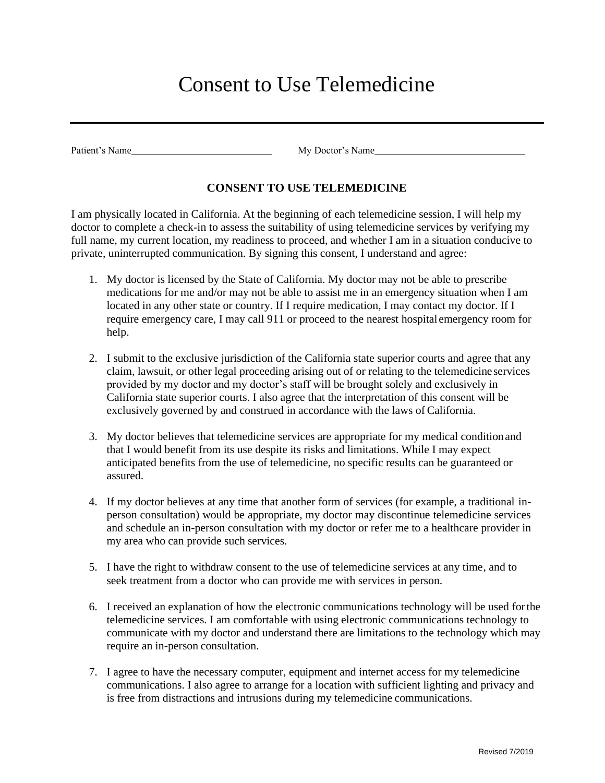## Consent to Use Telemedicine

Patient's Name My Doctor's Name

## **CONSENT TO USE TELEMEDICINE**

I am physically located in California. At the beginning of each telemedicine session, I will help my doctor to complete a check-in to assess the suitability of using telemedicine services by verifying my full name, my current location, my readiness to proceed, and whether I am in a situation conducive to private, uninterrupted communication. By signing this consent, I understand and agree:

- 1. My doctor is licensed by the State of California. My doctor may not be able to prescribe medications for me and/or may not be able to assist me in an emergency situation when I am located in any other state or country. If I require medication, I may contact my doctor. If I require emergency care, I may call 911 or proceed to the nearest hospital emergency room for help.
- 2. I submit to the exclusive jurisdiction of the California state superior courts and agree that any claim, lawsuit, or other legal proceeding arising out of or relating to the telemedicine services provided by my doctor and my doctor's staff will be brought solely and exclusively in California state superior courts. I also agree that the interpretation of this consent will be exclusively governed by and construed in accordance with the laws of California.
- 3. My doctor believes that telemedicine services are appropriate for my medical conditionand that I would benefit from its use despite its risks and limitations. While I may expect anticipated benefits from the use of telemedicine, no specific results can be guaranteed or assured.
- 4. If my doctor believes at any time that another form of services (for example, a traditional inperson consultation) would be appropriate, my doctor may discontinue telemedicine services and schedule an in-person consultation with my doctor or refer me to a healthcare provider in my area who can provide such services.
- 5. I have the right to withdraw consent to the use of telemedicine services at any time, and to seek treatment from a doctor who can provide me with services in person.
- 6. I received an explanation of how the electronic communications technology will be used forthe telemedicine services. I am comfortable with using electronic communications technology to communicate with my doctor and understand there are limitations to the technology which may require an in-person consultation.
- 7. I agree to have the necessary computer, equipment and internet access for my telemedicine communications. I also agree to arrange for a location with sufficient lighting and privacy and is free from distractions and intrusions during my telemedicine communications.